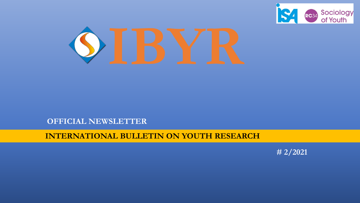

## **OFFICIAL NEWSLETTER**

## **INTERNATIONAL BULLETIN ON YOUTH RESEARCH**

**# 2/2021**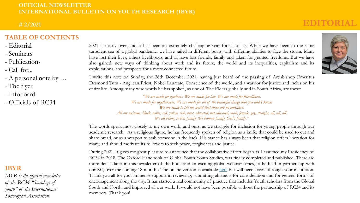**# 2/2021**

## **TABLE OF CONTENTS**

- Editorial
- Seminars
- Publications
- Call for...
- A personal note by …
- The flyer
- Infoboard
- Officials of RC34

## **IBYR**

*IBYR is the official newsletter of the RC34 "Sociology of youth" of the International Sociological Association*

2021 is nearly over, and it has been an extremely challenging year for all of us. While we have been in the same turbulent sea of a global pandemic, we have sailed in different boats, with differing abilities to face the storm. Many have lost their lives, others livelihoods, and all have lost friends, family and taken for granted freedoms. But we have also gained: new ways of thinking about work and its future, the world and its inequalities, capitalism and its exploitations, and prospects for a more connected future.

I write this note on Sunday, the 26th December 2021, having just heard of the passing of Archbishop Emeritus Desmond Tutu - Anglican Priest, Nobel Laureate, Conscience of the world, and a warrior for justice and inclusion his entire life. Among many wise words he has spoken, as one of The Elders globally and in South Africa, are these:

> *"We are made for goodness. We are made for love. We are made for friendliness. We are made for togetherness. We are made for all of the beautiful things that you and I know. We are made to tell the world that there are no outsiders. All are welcome: black, white, red, yellow, rich, poor, educated, not educated, male, female, gay, straight, all, all, all. We all belong to this family, this human family, God's family."*

The words speak most closely to my own work, and ours, as we struggle for inclusion for young people through our academic research. As a religious figure, he has frequently spoken of religion as a knife, that could be used to cut and share bread, or as a weapon to stab someone in the back. His stance has always been that religion offers liberation for many, and should motivate its followers to seek peace, forgiveness and justice.

During 2021, it gives me great pleasure to announce that the collaborative effort began as I assumed my Presidency of RC34 in 2018, The Oxford Handbook of Global South Youth Studies, was finally completed and published. There are more details later in this newsletter of the book and an exciting global webinar series, to be held in partnership with our RC, over the coming 18 months. The online version is available [here](https://www.oxfordhandbooks.com/view/10.1093/oxfordhb/9780190930028.001.0001/oxfordhb-9780190930028?rskey=6oyfkW&result=1) but will need access through your institution. Thank you all for your immense support in reviewing, submitting abstracts for consideration and for general forms of encouragement along the way. It has started a real community of practice that includes Youth scholars from the Global South and North, and improved all our work. It would not have been possible without the partnership of RC34 and its members. Thank you!



**EDITORIAL**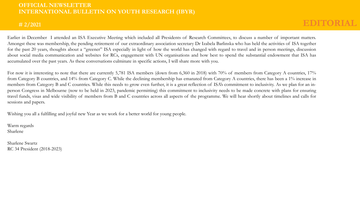### **# 2/2021**

Earlier in December I attended an ISA Executive Meeting which included all Presidents of Research Committees, to discuss a number of important matters. Amongst these was membership, the pending retirement of our extraordinary association secretary Dr Izabela Barlinska who has held the activities of ISA together for the past 20 years, thoughts about a "greener" ISA especially in light of how the world has changed with regard to travel and in person meetings, discussion about social media communication and websites for RCs, engagement with UN organisations and how best to spend the substantial endowment that ISA has accumulated over the past years. As these conversations culminate in specific actions, I will share more with you.

For now it is interesting to note that there are currently 5,781 ISA members (down from 6,360 in 2018) with 70% of members from Category A countries, 17% from Category B countries, and 14% from Category C. While the declining membership has emanated from Category A countries, there has been a 1% increase in members from Category B and C countries. While this needs to grow even further, it is a great reflection of ISA's commitment to inclusivity. As we plan for an inperson Congress in Melbourne (now to be held in 2023, pandemic permitting) this commitment to inclusivity needs to be made concrete with plans for ensuring travel funds, visas and wide visibility of members from B and C countries across all aspects of the programme. We will hear shortly about timelines and calls for sessions and papers.

Wishing you all a fulfilling and joyful new Year as we work for a better world for young people.

Warm regards Sharlene

Sharlene Swartz RC 34 President (2018-2023)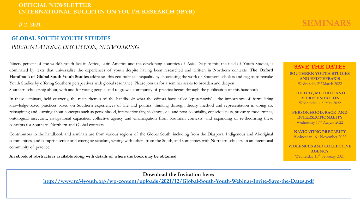#### **# 2\_2021**

## **GLOBAL SOUTH YOUTH STUDIES** *PRESENTATIONS, DISCUSSION, NETWORKING*

Ninety percent of the world's youth live in Africa, Latin America and the developing countries of Asia. Despite this, the field of Youth Studies, is dominated by texts that universalise the experiences of youth despite having been researched and written in Northern contexts. **The Oxford Handbook of Global South Youth Studies** addresses this geo-political inequality by showcasing the work of Southern scholars and begins to remake Youth Studies by offering Southern perspectives with global resonance. Please join us for a seminar series to broaden and deepen Southern scholarship about, with and for young people, and to grow a community of practice begun through the publication of this handbook.

In these seminars, held quarterly, the main themes of the handbook: what the editors have called 'epistepraxis' – the importance of formulating knowledge-based practices based on Southern experiences of life and politics; thinking through theory, method and representation in doing so; reimagining and learning about concepts such as personhood, intersectionality, violences, de- and post-coloniality, consciousness, precarity, modernities, ontological insecurity, navigational capacities, collective agency and emancipation from Southern contexts; and expanding or re-theorising these concepts for Southern, Northern and Global contexts.

Contributors to the handbook and seminars are from various regions of the Global South, including from the Diaspora, Indigenous and Aboriginal communities, and comprise senior and emerging scholars, writing with others from the South, and sometimes with Northern scholars, in an intentional community of practice.

**An ebook of abstracts is available along with details of where the book may be obtained.**

## **SEMINARS**

**SAVE THE DATES SOUTHERN YOUTH STUDIES AND EPISTEPRAXIS** Wednesday 2nd March 2022

**THEORY, METHOD AND REPRESENTATION**  Wednesday 11th May 2022

**PERSONHOOD, RACE AND INTERSECTIONALITY**  Wednesday 17<sup>th</sup> August 2022

**NAVIGATING PRECARITY**  Wednesday 16<sup>th</sup> November 2022

**VIOLENCES AND COLLECTIVE AGENCY**  Wednesday 15<sup>th</sup> February 2023

**Download the Invitation here:** 

**<http://www.rc34youth.org/wp-content/uploads/2021/12/Global-South-Youth-Webinar-Invite-Save-the-Dates.pdf>**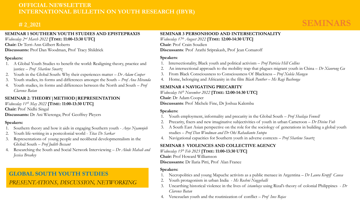## **# 2\_2021**

## **SEMINARS**

#### **SEMINAR 1 SOUTHERN YOUTH STUDIES AND EPISTEPRAXIS**

*Wednesday 2nd March 2022* **[TIME: 11:00-13:30 UTC]**

**Chair:** Dr Terri-Ann Gilbert Roberts

**Discussants:** Prof Dan Woodman, Prof Tracy Shildrick

#### **Speakers:**

- 1. A Global Youth Studies to benefit the world: Realigning theory, practice and justice – *Prof Sharlene Swartz*
- 2. Youth in the Global South: Why their experiences matter *Dr Adam Cooper*
- 3. Youth studies, its forms and differences amongst the South *Prof Ana Miranda*
- 4. Youth studies, its forms and differences between the North and South *Prof Clarence Batan*

## **SEMINAR 2: THEORY|METHOD|REPRESENTATION**

*Wednesday 11th May 2022* **[TIME: 11:00-13:30 UTC]**

**Chair:** Prof Nidhi Singal

**Discussants:** Dr Ani Wierenga; Prof Geoffrey Pleyers

#### **Speakers:**

- 1. Southern theory and how it aids in engaging Southern youth *Anye Nyamnjoh*
- 2. Youth life-writing in a postcolonial world *Titas De Sarkar*
- 3. Representations of young people and neoliberal developmentalism in the Global South – *Prof Judith Bessant*
- 4. Researching the South and Social Network Interviewing *Dr Alude Mahali and Jessica Breakey*

## **GLOBAL SOUTH YOUTH STUDIES** *PRESENTATIONS, DISCUSSION, NETWORKING*

### **SEMINAR 3 PERSONHOOD AND INTERSECTIONALITY**

*Wednesday 17th August 2022* **[TIME: 12:00-14:30 UTC]**

**Chair**: Prof Crain Soudien

**Discussants**: Prof Arathi Sriprakash, Prof Jean Comaroff

#### **Speakers**:

- 1. Intersectionality, Black youth and political activism *Prof Patricia Hill Collins*
- 2. An intersectional approach to the mobility trap that plagues migrant youth in China *Dr Xiaorong Gu*
- 3. From Black Consciousness to Consciousness Of Blackness *Prof Xolela Mangcu*
- 4. Home, belonging and Africanity in the film *Black Panther – Ms Ragi Bashonga*

#### **SEMINAR 4 NAVIGATING PRECARITY**

*Wednesday 16th November 2022* **[TIME: 12:00-14:30 UTC]**

**Chair**: Dr Adam Cooper

**Discussants**: Prof Michele Fine, Dr Joshua Kalemba

#### **Speakers:**

- 1. Youth employment, informality and precarity in the Global South *Prof Shailaja Fennell*
- 2. Precarity, fixers and new imaginative subjectivities of youth in urban Cameroon *Dr Divine Fuh*
- 3. A South East Asian perspective on the role for the sociology of generations in building a global youth studies – *Prof Dan Woodman and Dr Oki Rahadianto Sutopo*
- 4. Navigational capacities for Southern youth in adverse contexts *Prof Sharlene Swartz*

#### **SEMINAR 5 VIOLENCES AND COLLECTIVE AGENCY**

*Wednesday 15th Feb 2023* **[TIME: 11:00-13:30 UTC]**

**Chair:** Prof Howard Williamson

**Discussants:** Dr Ilaria Pitti, Prof Alan France

#### **Speakers:**

- 1. Necropolitics and young Mapuche activists as a public menace in Argentina *Dr Laura Kropff Causa*
- 2. Youth protagonism in urban India *Ms Roshni Nuggehalli*
- 3. Unearthing historical violence in the lives of *istambays* using Rizal's theory of colonial Philippines *Dr Clarence Batan*
- 4. Venezuelan youth and the routinization of conflict *Prof Ines Rojas*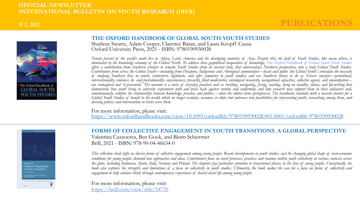### **# 2\_2021**

## **PUBLICATIONS**



#### **THE OXFORD HANDBOOK OF GLOBAL SOUTH YOUTH STUDIES**

Sharlene Swartz, Adam Cooper, Clarence Batan, and Laura Kropff Causa Oxford University Press, 2021 - ISBN: 9780190930028

Ninety percent of the world's youth live in Africa, Latin America and the developing countries of Asia. Despite this, the field of Youth Studies, like many others, is dominated by the knowledge economy of the Global North. To address these geopolitical inequalities of knowledge, The Oxford Handbook of Global South Youth Studies offers a contribution from Southern scholars to remake Youth Studies from its current state, that universalizes Northern perspectives, into a truly Global Youth Studies. Contributors from across the Global South—including from Diaspora, Indigenous and Aboriginal communities—locate and define 'the Global South'; articulate the necessity of studying Southern lives to enrich, reinterpret, legitimate, and offer symmetry to youth studies; and use Southern theory to do so. Eleven concepts—personhood, intersectionality, violences, de- and postcoloniality, consciousness, precarity, fluid modernities, ontological insecurity, navigational capacities, collective agency, and emancipation – are reimagined and 're-presented.' The outcome is a series of everyday practices such as hustling, navigating, fixing, waiting, being on standby, silence, and life-writing that demonstrate how youth living in adversity experiment with and push back against routine and conformity, and how research may support them in these endeavors and, simultaneously, redefine the relationships between knowledge, practice, and politics – what the editors term epistepraxis. The handbook concludes with a nascent charter for a Global Youth Studies of benefit to the world, which no longer excludes, assumes, or elides but embraces new possibilities for representing youth, researching among them, and *devising policies and interventions to better serve them.*

For more information, please visit: <https://www.oxfordhandbooks.com/view/10.1093/oxfordhb/9780190930028.001.0001/oxfordhb-9780190930028>



**FORMS OF COLLECTIVE ENGAGEMENT IN YOUTH TRANSITIONS. A GLOBAL PERSPECTIVE**  Valentina Cuzzocrea, Ben Gook, and Bjørn Schiermer Brill, 2021 - ISBN: 978-90-04-46634-0

This collection sheds light on diverse forms of collective engagement among young people. Recent developments in youth studies, and the changing global shape of socio-economic conditions for young people, demand new approaches and ideas. Contributors focus on novel processes, practices and routines within youth collectivity in various contexts across the globe, including Indonesia, Spain, Italy, Norway and Poland. The chapters pay particular attention to transitional phases in the lives of young people. Conceptually, the book also explores the strengths and limitations of a focus on collectivity in youth studies. Ultimately, the book makes the case for a focus on forms of collectivity and *engagement to help scholars think through contemporary experiences of shared social life among young people.*

For more information, please visit: <https://brill.com/view/title/54739>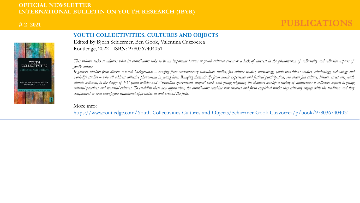### **# 2\_2021**

## **PUBLICATIONS**



### **YOUTH COLLECTIVITIES. CULTURES AND OBJECTS**

Edited By Bjørn Schiermer, Ben Gook, Valentina Cuzzocrea Routledge, 2022 - ISBN: 9780367404031

This volume seeks to address what its contributors take to be an important lacuna in youth cultural research: a lack of interest in the phenomenon of collectivity and collective aspects of *youth culture.*

It gathers scholars from diverse research backgrounds – ranging from contemporary subculture studies, fan culture studies, musicology, youth transitions studies, criminology, technology and work-life studies – who all address collective phenomena in young lives. Ranging thematically from music experience and festival participation, via soccer fan culture, leisure, street art, youth climate activism, to the design of EU youth policies and Australian government 'project' work with young migrants, the chapters develop a variety of approaches to collective aspects to young cultural practices and material cultures. To establish these new approaches, the contributors combine new theories and fresh empirical work; they critically engage with the tradition and they *complement or even reconfigure traditional approaches in and around the field.*

#### More info:

<https://www.routledge.com/Youth-Collectivities-Cultures-and-Objects/Schiermer-Gook-Cuzzocrea/p/book/9780367404031>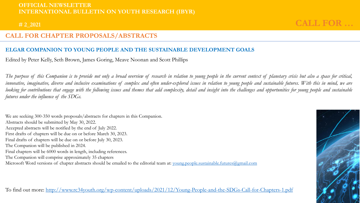### **# 2\_2021**

## **CALL FOR …**

## **CALL FOR CHAPTER PROPOSALS/ABSTRACTS**

## **ELGAR COMPANION TO YOUNG PEOPLE AND THE SUSTAINABLE DEVELOPMENT GOALS**

Edited by Peter Kelly, Seth Brown, James Goring, Meave Noonan and Scott Phillips

The purpose of this Companion is to provide not only a broad overview of research in relation to young people in the current context of planetary crisis but also a space for critical, innovative, imaginative, diverse and inclusive examinations of complex and often under-explored issues in relation to young people and sustainable futures. With this in mind, we are looking for contributions that engage with the following issues and themes that add complexity, detail and insight into the challenges and opportunities for young people and sustainable *futures under the influence of the SDGs.*

We are seeking 300-350 words proposals/abstracts for chapters in this Companion. Abstracts should be submitted by May 30, 2022. Accepted abstracts will be notified by the end of July 2022. First drafts of chapters will be due on or before March 30, 2023. Final drafts of chapters will be due on or before July 30, 2023. The Companion will be published in 2024. Final chapters will be 6000 words in length, including references. The Companion will comprise approximately 35 chapters Microsoft Word versions of chapter abstracts should be emailed to the editorial team at: [young.people.sustainable.futures@gmail.com](mailto:young.people.sustainable.futures@gmail.com)

To find out more: <http://www.rc34youth.org/wp-content/uploads/2021/12/Young-People-and-the-SDGs-Call-for-Chapters-1.pdf>

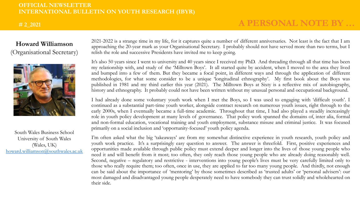## **# 2\_2021**

## **A PERSONAL NOTE BY …**

## **Howard Williamson** (Organisational Secretary)



South Wales Business School University of South Wales (Wales, UK) [howard.williamson@southwales.ac.uk](mailto:howard.williamson@southwales.ac.uk) 2021-2022 is a strange time in my life, for it captures quite a number of different anniversaries. Not least is the fact that I am approaching the 20-year mark as your Organisational Secretary. I probably should not have served more than two terms, but I relish the role and successive Presidents have invited me to keep going.

It's also 50 years since I went to university and 40 years since I received my PhD. And threading through all that time has been my relationship with, and study of the 'Milltown Boys'. It all started quite by accident, when I moved to the area they lived and bumped into a few of them. But they became a focal point, in different ways and through the application of different methodologies, for what some consider to be a unique 'longitudinal ethnography'. My first book about the Boys was published in 1981 and my third earlier this year (2021). The Milltown Boys at Sixty is a reflective mix of autobiography, history and ethnography. It probably could not have been written without my unusual personal and occupational background.

I had already done some voluntary youth work when I met the Boys, so I was used to engaging with 'difficult youth'. I continued as a substantial part-time youth worker, alongside contract research on numerous youth issues, right through to the early 2000s, when I eventually became a full-time academic. Throughout that time, I had also played a steadily increasingly role in youth policy development at many levels of governance. That policy work spanned the domains of, inter alia, formal and non-formal education, vocational training and youth employment, substance misuse and criminal justice. It was focused primarily on a social inclusion and 'opportunity-focused' youth policy agenda.

I'm often asked what the big 'takeaways' are from my somewhat distinctive experience in youth research, youth policy and youth work practice. It's a surprisingly easy question to answer. The answer is threefold. First, positive experiences and opportunities made available through public policy must extend deeper and longer into the lives of those young people who need it and will benefit from it most; too often, they only reach those young people who are already doing reasonably well. Second, negative – regulatory and restrictive - interventions into young people's lives must be very carefully limited only to those who really require them; too often, once in use, they are applied to far too many young people. And thirdly, not enough can be said about the importance of 'mentoring' by those sometimes described as 'trusted adults' or 'personal advisers': our most damaged and disadvantaged young people desperately need to have somebody they can trust solidly and wholehearted on their side.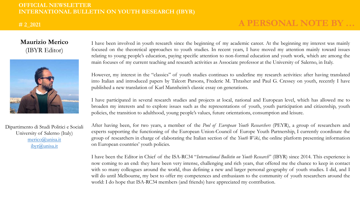### **# 2\_2021**

## **A PERSONAL NOTE BY …**

## **Maurizio Merico** (IBYR Editor)



Dipartimento di Studi Politici e Sociali University of Salerno (Italy) [merico@unisa.it](mailto:merico@unisa.it) [ibyr@unisa.it](mailto:ibyr@unisa.it)

I have been involved in youth research since the beginning of my academic career. At the beginning my interest was mainly focused on the theoretical approaches to youth studies. In recent years, I have moved my attention mainly toward issues relating to young people's education, paying specific attention to non-formal education and youth work, which are among the main focuses of my current teaching and research activities as Associate professor at the University of Salerno, in Italy.

However, my interest in the "classics" of youth studies continues to underline my research activities: after having translated into Italian and introduced papers by Talcott Parsons, Frederic M. Thrasher and Paul G. Cressey on youth, recently I have published a new translation of Karl Mannheim's classic essay on generations.

I have participated in several research studies and projects at local, national and European level, which has allowed me to broaden my interests and to explore issues such as the representations of youth, youth participation and citizenship, youth policies, the transition to adulthood, young people's values, future orientations, consumption and leisure.

After having been, for two years, a member of the *Pool of European Youth Researchers* (PEYR), a group of researchers and experts supporting the functioning of the European Union-Council of Europe Youth Partnership, I currently coordinate the group of researchers in charge of elaborating the Italian section of the *Youth Wiki*, the online platform presenting information on European countries' youth policies.

I have been the Editor in Chief of the ISA-RC34 "*International Bulletin on Youth Research*" (IBYR) since 2014. This experience is now coming to an end: they have been very intense, challenging and rich years, that offered me the chance to keep in contact with so many colleagues around the world, thus defining a new and larger personal geography of youth studies. I did, and I will do until Melbourne, my best to offer my competences and enthusiasm to the community of youth researchers around the world: I do hope that ISA-RC34 members (and friends) have appreciated my contribution.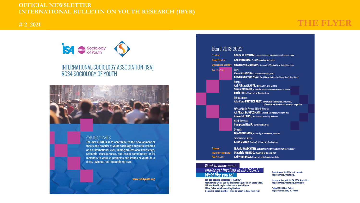# **# 2\_2021 THE FLYER**

# SA Resa Sociology INTERNATIONAL SOCIOLOGY ASSOCIATION (ISA) RC34 SOCIOLOGY OF YOUTH



#### **OBJECTIVES**

The aim of RC34 is to contribute to the development of theory and practice of youth sociology and youth research on an international level, uniting professional knowledge, scientific consciousness, and social commitment of its members to work on problems and issues of youth on a local, regional, and international level.

www.rc34youth.org

#### Board 2018-2022

| <b>resident</b>          | Sharlene SWARTZ, Human Sciences Research Council, South Africa                                                                                                                    |
|--------------------------|-----------------------------------------------------------------------------------------------------------------------------------------------------------------------------------|
| leputy President         | Ana MIRANDA, FLACSO Argentina, Argentina                                                                                                                                          |
| Irganisational Secretary | <b>Howard WILLIAMSON</b> , University of South Wales, United Kingdom                                                                                                              |
| ice-Presidents           | Asia:<br>Vinod CHANDRA, Lucknow University, India<br>Steven Sek-yum NGAI, The Chinese University of Hong Kong, Hong Kong                                                          |
|                          | Europe:<br>Airi-Alina ALLASTE, Tallinn University, Estonia<br>Sarah PICKARD, Université Sorbonne Nouvelle - Paris 3, France<br><b>Ilaria PITTI</b> , University of Bologna, Italy |
|                          | Latin America:<br>Ada Cora FREYTES FREY, Universidad Nacional de Avellaneda/<br>Universidad Nacional Arturo Jauretche, Argentina                                                  |
|                          | MENA (Middle East and North Africa):<br>Ali Akbar TAJMAZINANI, Allameh Tabatabai University, Iran<br>Abeer MUSLEH, Bethlehem University, Palestine                                |
|                          | North America:<br>Sampson BLAIR, SUNY Buffalo, USA                                                                                                                                |
|                          | Oceania:<br><b>Dan WOODMAN</b> , University of Melbourne, Australia                                                                                                               |
|                          | Sub-Saharan Africa:<br>Kiran ODHAV, North West University, South Africa                                                                                                           |
| <b>reasurer</b>          | Natalia WAECHTER, Ludwig Maximilian University Munich, Germany                                                                                                                    |
| lewsletter Coordinator   | Maurizio MERICO, University of Salemo, Italy                                                                                                                                      |
| ast President            | Ani WIERENGA, University of Melbourne, Australia                                                                                                                                  |
|                          |                                                                                                                                                                                   |

## Want to know more and/or get involved in ISA RC34?!<br>We'd like you to!

You can become a member of ISA RC34 Membership Dues: US\$50 (discount US\$10) for a 4-year period. ISA membership registration form is available on https://isa.enoah.com/Registration Contact a board member - we'd be happy to hear from you!

Read all about ISA RC34 on its website: http://www.rc34youth.org/

Keep up to date with the ISA RC34 Newsletter: http://www.rc34youth.org/newsletter

**Follow ISA RC34 on Twitter:** https://twitter.com/rc34youth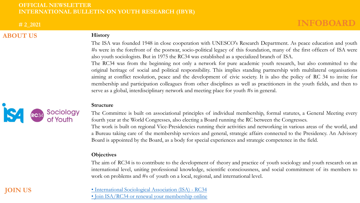**# 2\_2021**

## **ABOUT US**

**JOIN US**

## **History**

The ISA was founded 1948 in close cooperation with UNESCO's Research Department. As peace education and youth #s were in the forefront of the postwar, socio-political legacy of this foundation, many of the first officers of ISA were also youth sociologists. But in 1975 the RC34 was established as a specialized branch of ISA.

The RC34 was from the beginning not only a network for pure academic youth research, but also committed to the original heritage of social and political responsibility. This implies standing partnership with multilateral organisations aiming at conflict resolution, peace and the development of civic society. It is also the policy of RC 34 to invite for membership and participation colleagues from other disciplines as well as practitioners in the youth fields, and then to serve as a global, interdisciplinary network and meeting place for youth #s in general.

#### **Structure**

The Committee is built on associational principles of individual membership, formal statutes, a General Meeting every fourth year at the World Congresses, also electing a Board running the RC between the Congresses. The work is built on regional Vice-Presidencies running their activities and networking in various areas of the world, and a Bureau taking care of the membership services and general, strategic affairs connected to the Presidency. An Advisory Board is appointed by the Board, as a body for special experiences and strategic competence in the field.

### **Objectives**

The aim of RC34 is to contribute to the development of theory and practice of youth sociology and youth research on an international level, uniting professional knowledge, scientific consciousness, and social commitment of its members to work on problems and #s of youth on a local, regional, and international level.

## [• International Sociological Association \(ISA\)](https://www.isa-sociology.org/en/research-networks/research-committees/rc34-sociology-of-youth/) - RC34

[• Join ISA/RC34 or renewal your membership online](https://www.isa-sociology.org/en/membership/individual-membership)

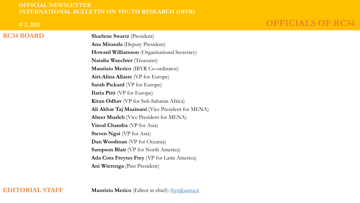**# 2\_2021**

**RC34 BOARD**

## **OFFICIALS OF RC34**

**Sharlene Swartz** (President) **Ana Miranda** (Deputy President) **Howard Williamson** (Organisational Secretary) **Natalia Waechter** (Treasurer) **Maurizio Merico** (IBYR Co-ordinator) **Airi-Alina Allaste** (VP for Europe) **Sarah Pickard** (VP for Europe) **Ilaria Pitti** (VP for Europe) **Kiran Odhav** (VP for Sub-Saharan Africa) **Ali Akbar Taj Mazinani** (Vice President for MENA) **Abeer Musleh** (Vice President for MENA) **Vinod Chandra** (VP for Asia) **Steven Ngai** (VP for Asia) **Dan Woodman** (VP for Oceania) **Sampson Blair** (VP for North America) **Ada Cora Freytes Frey** (VP for Latin America) **Ani Wierenga** (Past President)

**EDITORIAL STAFF**

**Maurizio Merico** (Editor in chief): [ibyr@unisa.it](mailto:ibyr@unisa.it)